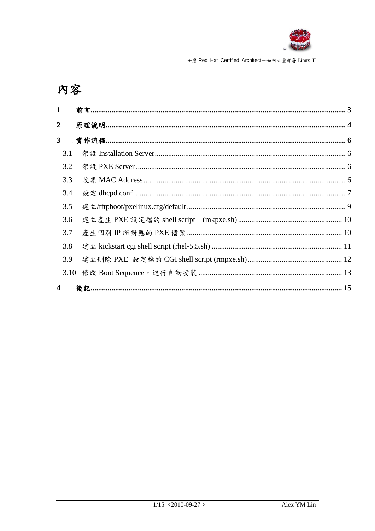

# 内容

| $\mathbf{1}$            |  |
|-------------------------|--|
| $\overline{2}$          |  |
| $\overline{\mathbf{3}}$ |  |
| 3.1                     |  |
| 3.2                     |  |
| 3.3                     |  |
| 3.4                     |  |
| 3.5                     |  |
| 3.6                     |  |
| 3.7                     |  |
| 3.8                     |  |
| 3.9                     |  |
| 3.10                    |  |
| 4                       |  |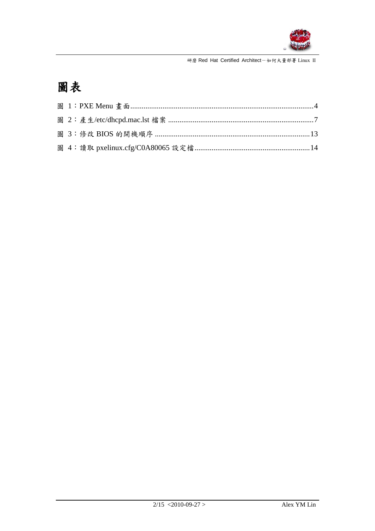

# 圖表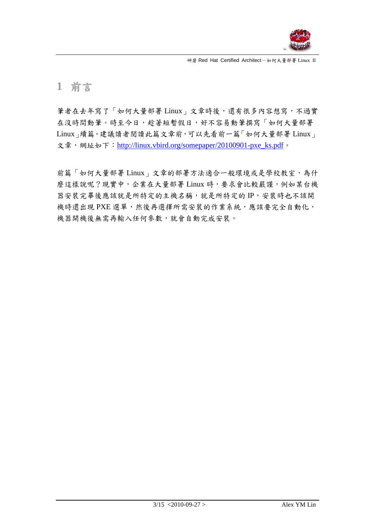

## **1** 前言

筆者在去年寫了「如何大量部署 Linux」文章時後,還有很多內容想寫,不過實 在沒時間動筆。時至今日,趁著短暫假日,好不容易動筆撰寫「如何大量部署 Linux」續篇。建議讀者閱讀此篇文章前,可以先看前一篇「如何大量部署 Linux」 文章,網址如下: [http://linux.vbird.org/somepaper/20100901-pxe\\_ks.pdf](http://linux.vbird.org/somepaper/20100901-pxe_ks.pdf)。

前篇「如何大量部署 Linux」文章的部署方法適合一般環境或是學校教室,為什 麼這樣說呢?現實中,企業在大量部署 Linux 時,要求會比較嚴謹,例如某台機 器安裝完畢後應該就是所特定的主機名稱,就是所特定的IP,安裝時也不該開 機時還出現 PXE 選單,然後再選擇所需安裝的作業系統,應該要完全自動化, 機器開機後無需再輸入任何參數,就會自動完成安裝。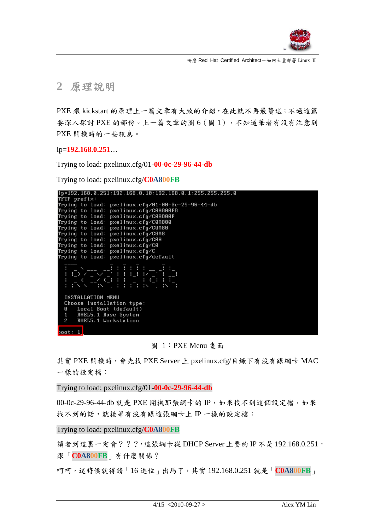

**2** 原理說明

PXE 跟 kickstart 的原理上一篇文章有大致的介紹,在此就不再最贅述;不過這篇 要深入探討 PXE 的部份。上一篇文章的圖 6 (圖1),不知道筆者有沒有注意到 PXE 開機時的一些訊息。

ip=**192.168.0.251**…

Trying to load: pxelinux.cfg/01-**00-0c-29-96-44-db**

Trying to load: pxelinux.cfg/**C0A800FB**



圖 1:PXE Menu 畫面

<span id="page-3-0"></span>其實 PXE 開機時,會先找 PXE Server 上 pxelinux.cfg/目錄下有沒有跟網卡 MAC 一樣的設定檔:

Trying to load: pxelinux.cfg/01-**00-0c-29-96-44-db**

00-0c-29-96-44-db 就是 PXE 開機那張網卡的 IP,如果找不到這個設定檔,如果 找不到的話,就接著有沒有跟這張網卡上 IP 一樣的設定檔:

Trying to load: pxelinux.cfg/**C0A800FB**

讀者到這裏一定會???,這張網卡從 DHCP Server 上要的 IP 不是 192.168.0.251, 跟「**C0A800FB**」有什麼關係?

呵呵,這時候就得請「16 進位」出馬了,其實 192.168.0.251 就是「**C0A800FB**」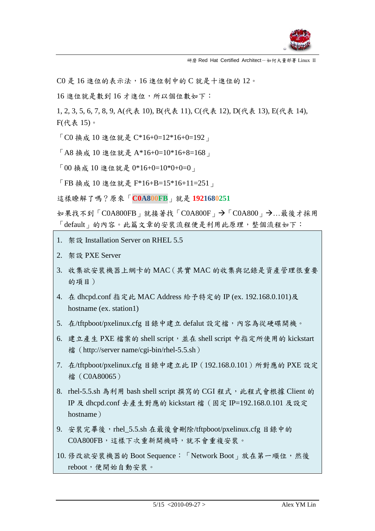

C0 是 16 進位的表示法,16 進位制中的 C 就是十進位的 12。

16 進位就是數到 16 才進位,所以個位數如下:

1, 2, 3, 5, 6, 7, 8, 9, A(代表 10), B(代表 11), C(代表 12), D(代表 13), E(代表 14), F(代表 15)。

「C0 換成 10 進位就是 C\*16+0=12\*16+0=192」

「A8 換成 10 進位就是 A\*16+0=10\*16+8=168」

「00 換成 10 進位就是 0\*16+0=10\*0+0=0」

「FB 換成 10 進位就是 F\*16+B=15\*16+11=251」

這樣瞭解了嗎?原來「**C0A800FB**」就是 **1921680251**

如果找不到「C0A800FB」就接著找「C0A800F」→「C0A800」→…最後才採用 「default」的內容。此篇文章的安裝流程便是利用此原理,整個流程如下:

- 1. 架設 Installation Server on RHEL 5.5
- 2. 架設 PXE Server
- 3. 收集欲安裝機器上網卡的 MAC(其實 MAC 的收集與記錄是資產管理很重要 的項目)
- 4. 在 dhcpd.conf 指定此 MAC Address 給予特定的 IP (ex. 192.168.0.101)及 hostname (ex. station1)
- 5. 在/tftpboot/pxelinux.cfg 目錄中建立 defalut 設定檔,內容為從硬碟開機。
- 6. 建立產生 PXE 檔案的 shell script,並在 shell script 中指定所使用的 kickstart 檔 (http://server name/cgi-bin/rhel-5.5.sh)
- 7. 在/tftpboot/pxelinux.cfg 目錄中建立此 IP(192.168.0.101)所對應的 PXE 設定 檔(C0A80065)
- 8. rhel-5.5.sh 為利用 bash shell script 撰寫的 CGI 程式,此程式會根據 Client 的 IP 及 dhcpd.conf 去產生對應的 kickstart 檔(固定 IP=192.168.0.101 及設定 hostname)
- 9. 安裝完畢後,rhel 5.5.sh 在最後會刪除/tftpboot/pxelinux.cfg 目錄中的 C0A800FB,這樣下次重新開機時,就不會重複安裝。
- 10. 修改欲安裝機器的 Boot Sequence: 「Network Boot」放在第一順位,然後 reboot,便開始自動安裝。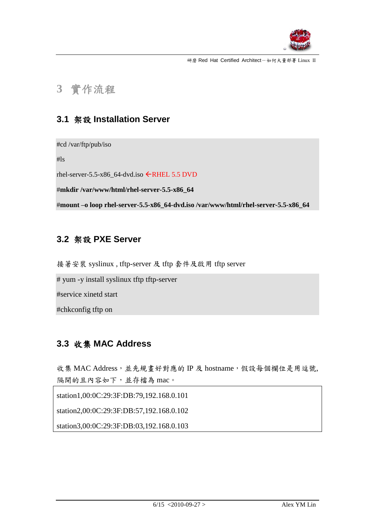

## **3** 實作流程

### **3.1** 架設 **Installation Server**

#cd /var/ftp/pub/iso

#ls

rhel-server-5.5-x86\_64-dvd.iso  $\leftarrow$ RHEL 5.5 DVD

#**mkdir /var/www/html/rhel-server-5.5-x86\_64**

#**mount –o loop rhel-server-5.5-x86\_64-dvd.iso /var/www/html/rhel-server-5.5-x86\_64**

### **3.2** 架設 **PXE Server**

接著安裝 syslinux , tftp-server 及 tftp 套件及啟用 tftp server

# yum -y install syslinux tftp tftp-server

#service xinetd start

#chkconfig tftp on

### **3.3** 收集 **MAC Address**

收集 MAC Address, 並先規畫好對應的 IP 及 hostname, 假設每個欄位是用逗號, 隔開的且內容如下,並存檔為 mac。

station1,00:0C:29:3F:DB:79,192.168.0.101

station2,00:0C:29:3F:DB:57,192.168.0.102

station3,00:0C:29:3F:DB:03,192.168.0.103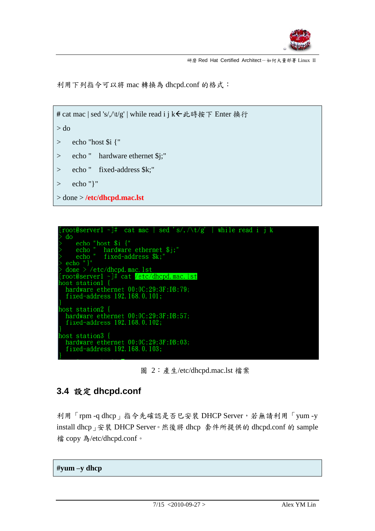

利用下列指令可以將 mac 轉換為 dhcpd.conf 的格式:

```
# cat mac | sed 's/, ∧t/g' | while read i j k←此時按下 Enter 换行
> do
> echo "host $i {"
> echo " hardware ethernet $j;"
> echo " fixed-address $k;"
> echo "}"
> done > /etc/dhcpd.mac.lst
```


圖 2:產生/etc/dhcpd.mac.lst 檔案

### <span id="page-6-0"></span>**3.4** 設定 **dhcpd.conf**

利用「rpm -q dhcp」指令先確認是否巳安裝 DHCP Server,若無請利用「yum -y install dhcp」安裝 DHCP Server。然後將 dhcp 套件所提供的 dhcpd.conf 的 sample 檔 copy 為/etc/dhcpd.conf。

**#yum –y dhcp**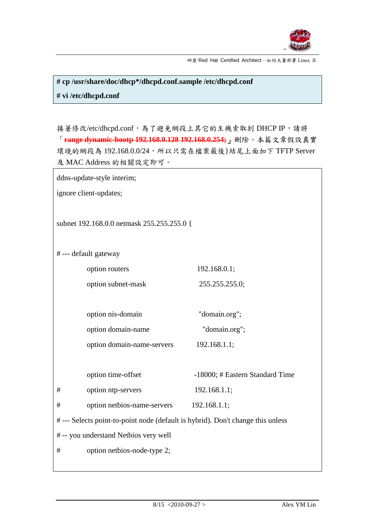

**# cp /usr/share/doc/dhcp\*/dhcpd.conf.sample /etc/dhcpd.conf # vi /etc/dhcpd.conf**

接著修改/etc/dhcpd.conf,為了避免網段上其它的主機索取到 DHCP IP,請將 「**range dynamic-bootp 192.168.0.128 192.168.0.254;**」刪除。本篇文章假設真實 環境的網段為 192.168.0.0/24,所以只需在檔案最後}結尾上面加下 TFTP Server 及 MAC Address 的相關設定即可。

ddns-update-style interim;

ignore client-updates;

subnet 192.168.0.0 netmask 255.255.255.0 {

# --- default gateway

| option routers     | 192.168.0.1;   |
|--------------------|----------------|
| option subnet-mask | 255.255.255.0; |

| option nis-domain  | "domain.org"; |  |
|--------------------|---------------|--|
| option domain-name | "domain.org"; |  |

option domain-name-servers 192.168.1.1;

option time-offset -18000; # Eastern Standard Time

# option ntp-servers 192.168.1.1;

# option netbios-name-servers 192.168.1.1;

# --- Selects point-to-point node (default is hybrid). Don't change this unless

# -- you understand Netbios very well

# option netbios-node-type 2;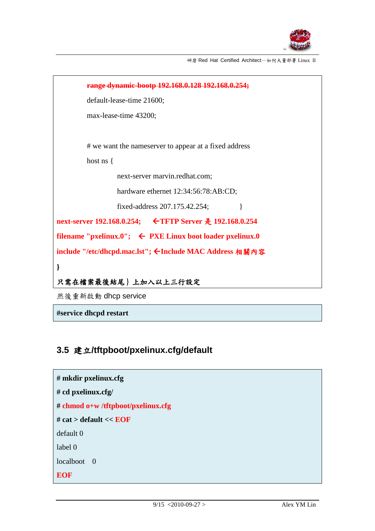



**#service dhcpd restart**

### **3.5** 建立**/tftpboot/pxelinux.cfg/default**

```
# mkdir pxelinux.cfg
# cd pxelinux.cfg/
# chmod o+w /tftpboot/pxelinux.cfg
# cat > default << EOF
default 0
label 0
localboot \t0EOF
```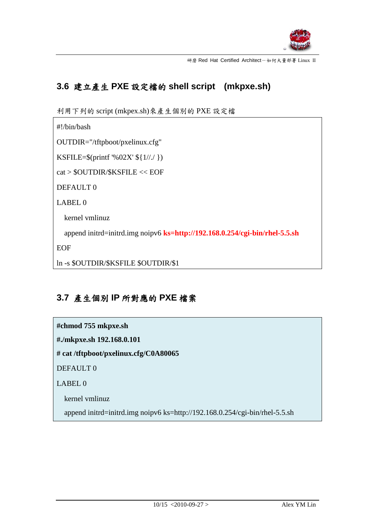

÷,

研磨 Red Hat Certified Architect-如何大量部署 Linux II

## **3.6** 建立產生 **PXE** 設定檔的 **shell script (mkpxe.sh)**

利用下列的 script (mkpex.sh)來產生個別的 PXE 設定檔

 $\mathsf{r}$ 

| $\#!/\text{bin/bash}$                                                             |
|-----------------------------------------------------------------------------------|
| $OUTDIR="tftpboot/pxelinux.cfg"$                                                  |
| KSFILE= $\{(print\%02X'\$ { $1//$ })                                              |
| cat > \$OUTDIR/\$KSFILE << EOF                                                    |
| DEFAULT <sub>0</sub>                                                              |
| LABEL <sub>0</sub>                                                                |
| kernel vmlinuz                                                                    |
| append initrd=initrd.img noip $\nu$ 6 ks=http://192.168.0.254/cgi-bin/rhel-5.5.sh |
| <b>EOF</b>                                                                        |
| In -s \$OUTDIR/\$KSFILE \$OUTDIR/\$1                                              |

## **3.7** 產生個別 **IP** 所對應的 **PXE** 檔案

| #chmod 755 mkpxe.sh                                                         |  |  |
|-----------------------------------------------------------------------------|--|--|
| #./mkpxe.sh 192.168.0.101                                                   |  |  |
| # cat /tftpboot/pxelinux.cfg/C0A80065                                       |  |  |
| DEFAULT <sub>0</sub>                                                        |  |  |
| LABEL <sub>0</sub>                                                          |  |  |
| kernel vmlinuz                                                              |  |  |
| append initrd=initrd.img noipv6 ks=http://192.168.0.254/cgi-bin/rhel-5.5.sh |  |  |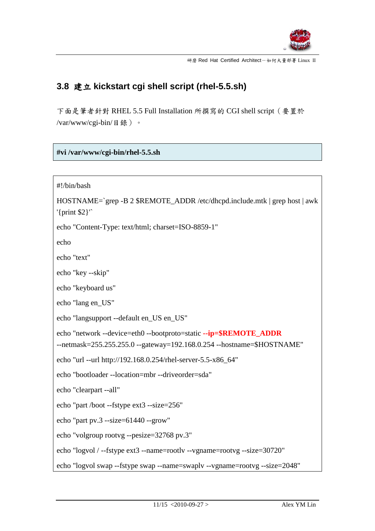

## **3.8** 建立 **kickstart cgi shell script (rhel-5.5.sh)**

下面是筆者針對 RHEL 5.5 Full Installation 所撰寫的 CGI shell script (要置於 /var/www/cgi-bin/目錄)。

#### **#vi /var/www/cgi-bin/rhel-5.5.sh**

```
#!/bin/bash
HOSTNAME=`grep -B 2 $REMOTE_ADDR /etc/dhcpd.include.mtk | grep host | awk 
'{print $2}'`
echo "Content-Type: text/html; charset=ISO-8859-1"
echo
echo "text"
echo "key --skip"
echo "keyboard us"
echo "lang en_US"
echo "langsupport --default en_US en_US"
echo "network --device=eth0 --bootproto=static --ip=$REMOTE_ADDR
--netmask=255.255.255.0 --gateway=192.168.0.254 --hostname=$HOSTNAME"
echo "url --url http://192.168.0.254/rhel-server-5.5-x86_64"
echo "bootloader --location=mbr --driveorder=sda"
echo "clearpart --all"
echo "part /boot --fstype ext3 --size=256"
echo "part pv.3 --size=61440 --grow"
echo "volgroup rootvg --pesize=32768 pv.3"
echo "logvol / --fstype ext3 --name=rootlv --vgname=rootvg --size=30720"
echo "logvol swap --fstype swap --name=swaplv --vgname=rootvg --size=2048"
```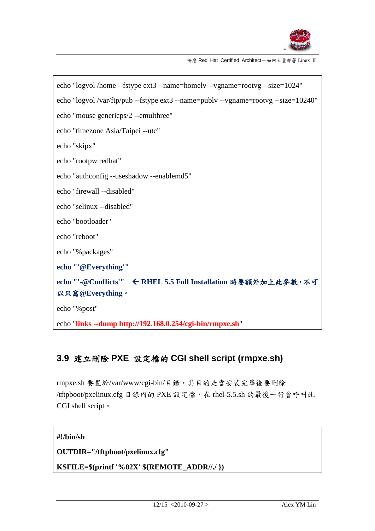

| echo "logvol /home --fstype ext3 --name=homelv --vgname=rootvg --size=1024"        |  |  |  |
|------------------------------------------------------------------------------------|--|--|--|
| echo "logvol /var/ftp/pub --fstype ext3 --name=publv --vgname=rootvg --size=10240" |  |  |  |
| echo "mouse genericps/2 --emulthree"                                               |  |  |  |
| echo "timezone Asia/Taipei --utc"                                                  |  |  |  |
| echo "skipx"                                                                       |  |  |  |
| echo "rootpw redhat"                                                               |  |  |  |
| echo "authconfig --useshadow --enablemd5"                                          |  |  |  |
| echo "firewall --disabled"                                                         |  |  |  |
| echo "selinux --disabled"                                                          |  |  |  |
| echo "bootloader"                                                                  |  |  |  |
| echo "reboot"                                                                      |  |  |  |
| echo "%packages"                                                                   |  |  |  |
| echo "'@Everything"'                                                               |  |  |  |
| echo "'-@Conflicts'" ← RHEL 5.5 Full Installation 時要額外加上此參數, 不可                    |  |  |  |
| 以只寫@Everything。                                                                    |  |  |  |
| echo "%post"                                                                       |  |  |  |
| echo "links --dump http://192.168.0.254/cgi-bin/rmpxe.sh"                          |  |  |  |

## **3.9** 建立刪除 **PXE** 設定檔的 **CGI shell script (rmpxe.sh)**

rmpxe.sh 要置於/var/www/cgi-bin/目錄,其目的是當安裝完畢後要刪除 /tftpboot/pxelinux.cfg 目錄內的 PXE 設定檔,在 rhel-5.5.sh 的最後一行會呼叫此 CGI shell script。

#### **#!/bin/sh**

**OUTDIR="/tftpboot/pxelinux.cfg"**

**KSFILE=\$(printf '%02X' \${REMOTE\_ADDR//./ })**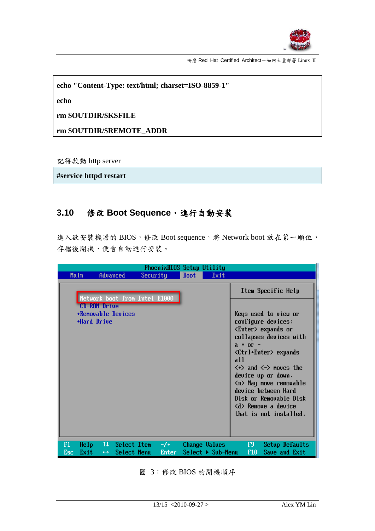

**echo "Content-Type: text/html; charset=ISO-8859-1"**

**echo**

**rm \$OUTDIR/\$KSFILE**

**rm \$OUTDIR/\$REMOTE\_ADDR**

記得啟動 http server

**#service httpd restart**

#### **3.10** 修改 **Boot Sequence**,進行自動安裝

進入欲安裝機器的 BIOS,修改 Boot sequence,將 Network boot 放在第一順位, 存檔後開機,便會自動進行安裝。

|            |                                                          |                               | PhoenixBIOS Setup Utility       |             |                                  |                                                                                                                                                                                                                                                                                                                                                                                                                                 |
|------------|----------------------------------------------------------|-------------------------------|---------------------------------|-------------|----------------------------------|---------------------------------------------------------------------------------------------------------------------------------------------------------------------------------------------------------------------------------------------------------------------------------------------------------------------------------------------------------------------------------------------------------------------------------|
| Main       |                                                          | Advanced                      | Security                        | <b>Boot</b> | Exit                             |                                                                                                                                                                                                                                                                                                                                                                                                                                 |
|            |                                                          |                               | Network boot from Intel E1000   |             |                                  | Item Specific Help                                                                                                                                                                                                                                                                                                                                                                                                              |
|            | <b>CD-ROM</b> Drive<br>+Removable Devices<br>+Hard Drive |                               |                                 |             |                                  | Keys used to view or<br>configure devices:<br>$\langle$ Enter $\rangle$ expands or<br>collapses devices with<br>$a + or -$<br><ctrl+enter> expands<br/>all<br/><math>\langle \cdot \rangle</math> and <math>\langle \cdot \rangle</math> moves the<br/>device up or down.<br/><n> May move removable<br/>device between Hard<br/>Disk or Removable Disk<br/><d> Remove a device<br/>that is not installed.</d></n></ctrl+enter> |
| F1<br>Esc. | Help<br>Exit                                             | $\leftrightarrow$ Select Menu | $11$ Select Item $-/-$<br>Enter |             | $Select \triangleright Sub-Menu$ | Change Values F9<br>Setup Defaults<br>F10<br>Save and Exit                                                                                                                                                                                                                                                                                                                                                                      |

<span id="page-12-0"></span>圖 3:修改 BIOS 的開機順序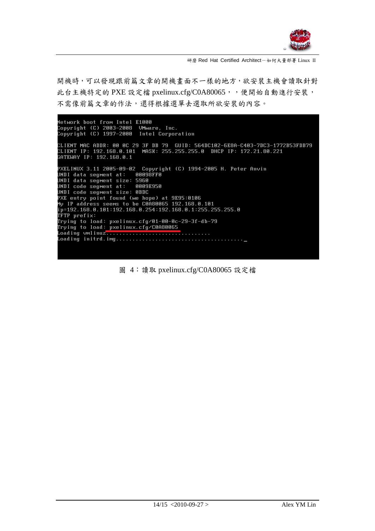

開機時,可以發現跟前篇文章的開機書面不一樣的地方,欲安裝主機會讀取針對 此台主機特定的 PXE 設定檔 pxelinux.cfg/C0A80065,分便開始自動進行安裝, 不需像前篇文章的作法,還得根據選單去選取所欲安裝的內容。

Network boot from Intel E1000<br>Copyright (C) 2003–2008 UMware, Inc.<br>Copyright (C) 1997–2000 Intel Corporation CLIENT MAC ADDR: 00 0C 29 3F DB 79 GUID: 564DC102-6E8A-C403-7DC3-1772B53FDB79<br>CLIENT IP: 192.168.0.101 MASK: 255.255.255.0 DHCP IP: 172.21.80.221<br>GATEWAY IP: 192.168.0.1 PXELINUX 3.11 2005-09-02 Copyright (C) 1994-2005 H. Peter Anvin PAELINOX 3.11 2003-09-02 CODOPT!<br>UNDI data segment at: 00098FF0<br>UNDI data segment size: 5960<br>UNDI code segment at: 0009E950 UNDI code segment size: 0BDC PXE entry point found (we hope) at 9E95:0106 r. entry point found the nope, at 3233.0100<br>My IP address seems to be C0A80065 192.168.0.101<br>ip=192.168.0.101:192.168.0.254:192.168.0.1:255.255.255.0  $T\bar{F}TP$  prefix: 

<span id="page-13-0"></span>圖 4:讀取 pxelinux.cfg/C0A80065 設定檔